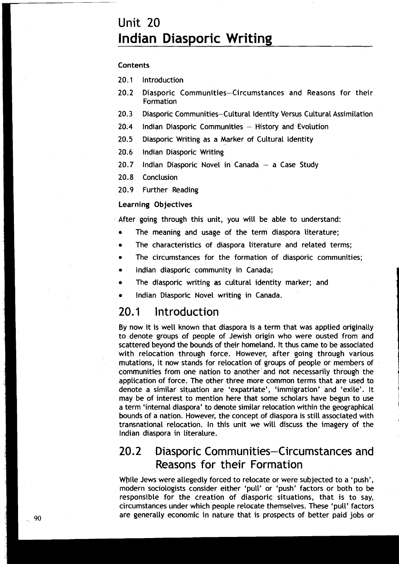# Unit **20 Indian Diasporic Writing**

#### Contents

**20.1** Introduction

- **20.2** Diasporic Communities-Circumstances and Reasons for their Formation
- **20.3** Diasporic Communities-Cultural ldentity Versus Cultural Assimilation
- 20.4 Indian Diasporic Communities History and Evolution
- **20.5** Diasporic Writing as a Marker of Cultural ldentity
- **20.6** lndian Diasporic Writing
- 20.7 Indian Diasporic Novel in Canada a Case Study

**20.8** Conclusion

**20.9** Further Reading

#### Learning Objectives

After going through this unit, you will be able to understand:

- The meaning and usage of the term diaspora literature;
- The characteristics of diaspora literature and related terms;
- The circumstances for the formation of diasporic communities;  $\bullet$
- lndian diasporic community in Canada;
- The diasporic writing as cultural identity marker; and
- lndian Diasporic Novel writing in Canada.

#### 20.1 lntroduction

By now it is well known that diaspora is a term that was applied originally to denote groups of people of Jewish origin who were ousted from and scattered beyond the bounds of their homeland. It thus came to be associated with relocation through force. However, after going through various mutations, it now stands for relocation of groups of people or members of communities from one nation to another'and not necessarily through the application of force. The other three more common terms that are used to denote a similar situation are 'expatriate', 'immigration' and 'exile'. It may be of interest to mention here that some scholars have begun to use a term 'internal diaspora' to denote similar relocation within the geographical bounds of a nation. However, the concept of diaspora is still associated with transnational relocation. In this unit we will discuss the imagery of the lndian diaspora in literalure.

### 20.2 Diasporic Communities-Circumstances and Reasons for their Formation

While Jews were allegedly forced to relocate or were subjected to a 'push', modern sociologists consider either 'pull' or 'push' factors or both to be responsible for the creation of diasporic situations, that is to say, circumstames under which people relocate themselves. These 'pull' factors are generally economic in nature that is prospects of better paid jobs or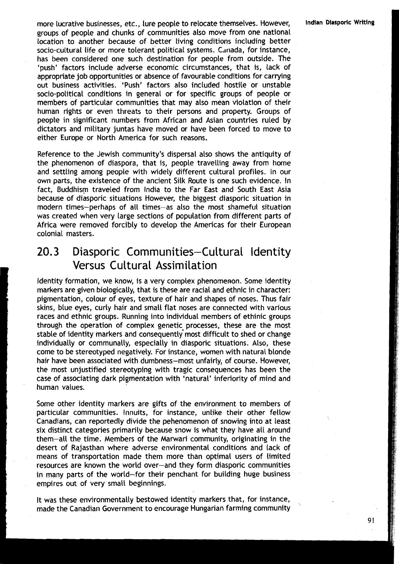more lucrative businesses, etc., lure people to relocate themselves. However, **Indian Diasporic Writing** groups of people and chunks of communities also move from one national location to another because of better living conditions including better socio-cultural life or more tolerant political systems. Canada, for instance, has been considered one such destination for people from outside. The 'push' factors include adverse economic circumstances, that is, lack of appropriate job opportunities or absence of favourable conditions for carrying out business activities. 'Push' factors also included hostile or unstable socio-political conditions in general or for specific groups of people or members of particular communities that may also mean violation of their human rights or even threats to their persons and property. Groups of people in significant numbers from African and Asian countries ruled by dictators and military juntas have moved or have been forced to move to either Europe or North America for such reasons.

Reference to the Jewish community's dispersal also shows the antiquity of the phenomenon of diaspora, that is, people travelling away from home and settling among people with widely different cultural profiles. In our own parts, the existence of the ancient Silk Route is one such evidence. In fact, Buddhism traveled from India to the Far East and South East Asia because of diasporic situations However, the biggest diasporic situation in modern times-perhaps of all times-as also the most shameful situation was created when very large sections of population from different parts of Africa were removed forcibly to develop the Americas for their European colonial masters.

# 20.3 Diasporic Communities-Cultural Identity Versus Cultural Assimilation

ldentity formation, we know, is a very complex phenomenon. Some identity markers are given biologically, that is these are racial and ethnic in character: pigmentation, colour of eyes, texture of hair and shapes of noses. Thus fair skins, blue eyes, curly hair and small flat noses are connected with various races and ethnic groups. Running into individual members of ethinic groups through the operation of complex genetic processes, these are the most stable of identity markers and consequently most difficult to shed or change individually or communally, especially in diasporic situations. Also, these come to be stereotyped negatively. For instance, women with natural blonde hair have been associated with dumbness-most unfairly, of course. However, the most unjustified stereotyping with tragic consequences has been the case of associating dark pigmentation with 'natural' inferiority of mind and human values.

Some other identity markers are gifts of the environment to members of particular communities. Innuits, for instance, unlike their other fellow Canadians, can reportedly divide the pehenomenon of snowing into at least six distinct categories primarily because snow is what they have all around them-all the time. Members of the Marwari community, originating in the desert of Rajasthan where adverse environmental conditions and lack of means of transportation made them more than optimal users of limited resources are known the world over-and they form diasporic communities in many parts of the world-for their penchant for building huge business empires out of very small beginnings.

It was these environmentally bestowed identity markers that, for instance, made the Canadian Government to encourage Hungarian farming community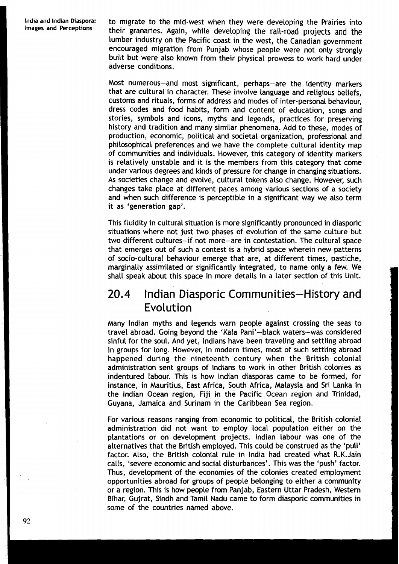India and Indian Diaspora: **to migrate to the mid-west when they were developing the Prairies into Images and Perceptions their grapacies Again, while developing the rail read prejects and the** their granaries. Again, while developing the rail-road projects and the lumber industry on the Pacific coast in the west, the Canadian government encouraged migration from Punjab whose people were not only strongly built but were also known from their physical prowess to work hard under adverse conditions.

> Most numerous-and most significant, perhaps-are the identity markers that are cultural in character. These involve language and religious beliefs, customs and rituals, forms of address and modes of inter-personal behaviour, dress codes and food habits, form and content of education, songs and stories, symbols and icons, myths and legends, practices for preserving history and tradition and many similar phenomena. Add to these, modes of production, economic, political and societal organization, professional and philosophical preferences and we have the complete cultural identity map of communities and individuals. However, this category of identity markers is relatively unstable and it is the members from this category that come under various degrees and kinds of pressure for change in changing situations. As societies change and evolve, cultural tokens also change. However, such changes take place at different paces among various sections of a society and when such difference is perceptible in a significant way we also term it as 'generation gap'.

> This fluidity in cultural situation is more significantly pronounced in diasporic situations where not just two phases of evolution of the same culture but two different cultures-if not more-are in contestation. The cultural space that emerges out of such a contest is a hybrid space wherein new patterns of socio-cultural behaviour emerge that are, at different times, pastiche, marginally assimilated or significantly integrated, to name only a few. We shall speak about this space in more details in a later section of this Unit.

### 20.4 lndian Diasporic Communities-History and Evolution

Many lndian myths and legends warn people against crossing the seas to travel abroad. Going beyond the 'Kala Pani'-black waters-was considered sinful for the soul. And yet, Indians have been traveling and settling abroad in groups for long. However, in modern'times, most of such settling abroad happened during the nineteenth century when the British colonial administration sent groups of Indians to work in other British colonies as indentured labour. This is how lndian diasporas came to be formed, for instance, in Mauritius, East Africa, South Africa, Malaysia and Sri Lanka in the lndian Ocean region, Fiji in the Pacific Ocean region and Trinidad, Guyana, Jamaica and Surinam in the Caribbean Sea region.

For various reasons ranging from economic to political, the British colonial administration did not want to employ local population either on the plantations or on development projects. lndian labour was one of the alternatives that the British employed. This could be construed as the 'pull' factor. Also, the British colonial rule in India had created what R.K.Jain calls, 'severe economic and social disturbances'. This was the 'push' factor. Thus, development of the economies of the colonies created employment opportunities abroad for groups of people belonging to either a community or a region. This is how people from Panjab, Eastern Uttar Pradesh, Western Bihar, Gujrat, Sindh and Tamil Nadu came to form diasporic communities in some of the countries named above.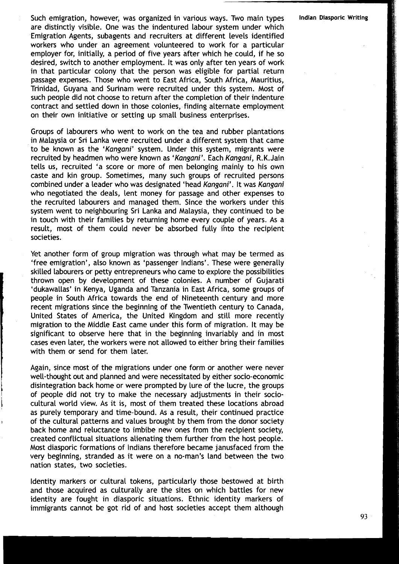Such emigration, however, was organized in various ways. Two main types **Indian Diasporic Writing**  are distinctly visible. One was the indentured labour system under which Emigration Agents, subagents and recruiters at different levels identified workers who under an agreement volunteered to work for a particular employer for, initially, a period of five years after which he could, if he so desired, switch to another employment. It was only after ten years of work in that particular colony that the person was eligible for partial return passage expenses. Those who went to East Africa, South Africa, Mauritius, Trinidad, Guyana and Surinam were recruited under this system. Most of such people did not choose to return after the completion of their indenture contract and settled down in those colonies, finding alternate employment on their own initiative or setting up small business enterprises.

Groups of labourers who went to work on the tea and rubber plantations in Malaysia or Sri Lanka were recruited under a different system that came to be known as the 'Kangani' system. Under this system, migrants were recruited by headmen who were known as 'Kangani'. Each Kangani, R.K.Jain tells us, recruited 'a score or more of men belonging mainly to his own caste and kin group. Sometimes, many such groups of recruited persons combined under a leader who was designated 'head Kangani'. It was Kangani who negotiated the deals, lent money for passage and other expenses to the recruited labourers and managed them. Since the workers under this system went to neighbouring Sri Lanka and Malaysia, they continued to be in touch with their families by returning home every couple of years. As a result, most of them could never be absorbed fully ihto the recipient societies.

Yet another form of group migration was through what may be termed as 'free emigration', also known as 'passenger Indians'. These were generally skilled labourers or petty entrepreneurs who came to explore the possibilities thrown open by development of these colonies. A number of Gujarati 'dukawallas' in Kenya, Uganda and Tanzania in East Africa, some groups of people in South Africa towards the end of Nineteenth century and more recent migrations since the beginning of the Twentieth century to Canada, United States of America, the United Kingdom and still more recently migration to the Middle East came under this form of migration. It may be significant to observe here that in the beginning invariably and in most cases even later, the workers were not allowed to either bring their families with them or send for them later.

Again, since most of the migrations under one form or another were never well-thought out and planned and were necessitated by either socio-economic disintegration back home or were prompted by lure of the lucre, the groups **<sup>I</sup>** of people did not try to make the necessary adjustments in their sociocultural world view. As it is, most of them treated these locations abroad as purely temporary and time-bound. As a result, their continued practice of the cultural patterns and values brought by them from the donor society back home and reluctance to imbibe new ones from the recipient society, created conflictual situations alienating them further from the host people. Most diasporic formations of Indians therefore became janusfaced from the very beginning, stranded as it were on a no-man's land between the two nation states, two societies.

Identity markers or cultural tokens, particularly those bestowed at birth and those acquired as culturally are the sites on which battles for new identity are fought in diasporic situations. Ethnic identity markers of immigrants cannot be got rid of and host societies accept them although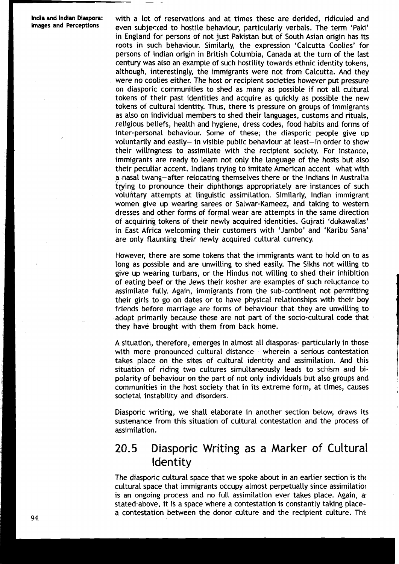**India and lndian Diaspora:** with a lot of reservations and at times these are derided, ridiculed and **Images and** even subjected to hostile behaviour, particularly verbals. The term 'Paki' in England for persons of not just Pakistan but of South Asian origin has its roots in such behaviour. Similarly, the expression 'Calcutta Coolies' for persons of lndian origin in British Columbia, Canada at the turn of the last century was also an example of such hostility towards ethnic identity tokens, although, interestingly, the immigrants were not from Calcutta. And they were no coolies either. The host or recipient societies however put pressure on diasporic communities to shed as many as possible if not all cultural tokens of their past identities and acquire as quickly as possible the new tokens of cultural identity. Thus, there is pressure on groups of immigrants as also on individual members to shed their languages, customs and rituals, religious beliefs, health and hygiene, dress codes, food habits and forms of inter-personal behaviour. Some of these, the diasporic people give up voluntarily and easily- in visible public behaviour at least-in order to show their willingness to assimilate with the recipient society. For instance, immigrants are ready to learn not only the language of the hosts but also their peculiar accent. Indians trying to imitate American accent-what with a nasal twang-after relocating themselves there or the lndians in Australia trying to pronounce their diphthongs appropriately are instances of such volurltafy attempts at linguistic assimilation. Similarly, lndian immigrant women give up wearing sarees or Salwar-Kameez, and taking to western dresses and other forms of formal wear are attempts in the same direction of acquiring tokens of their newly acquired identities. Gujrati 'dukawallas' in East Africa welcoming their customers with 'Jambo' and 'Karibu Sana' are only flaunting their newly acquired cultural currency.

> However, there are some tokens that the immigrants want to hold on to as long as possible and are unwilling to shed easily. The Sikhs not willing to give up wearing turbans, or the Hindus not willing to shed their inhibition of eating beef or the Jews their kosher are examples of such reluctance to assimilate fully. Again, immigrants from the sub-continent not permitting their girls to go on dates or to have physical relationships with their boy friends before marriage are forms of behaviour that they are unwilling to adopt primarily because these are not part of the socio-cultural code that  $\cdot$ they have brought with them from back home.

A situation, therefore, emerges in almost all diasporas- particularly in those with more pronounced cultural distance- wherein a serious contestation takes place on the sites of cultural identity and assimilation. And this situation of riding two cultures simultaneously leads to schism and bipolarity of behaviour on the part of not only individuals but also groups and communities in the host society that in its extreme form, at times, causes societal instability and disorders.

Diasporic writing, we shall elaborate in another section below, draws its sustenance from this situation of cultural contestation and the process of assimilation.

### 20.5 Diasporic Writing as a Marker of Cultural Identity

The diasporic cultural space that we spoke about in an earlier section is the cultural space that immigrants occupy almost perpetually since assimilatior is an ongoing process and no full assimilation ever takes place. Again, as stated above, it is a space where a contestation is constantly taking placea contestation between the donor culture and the recipient culture. Thi: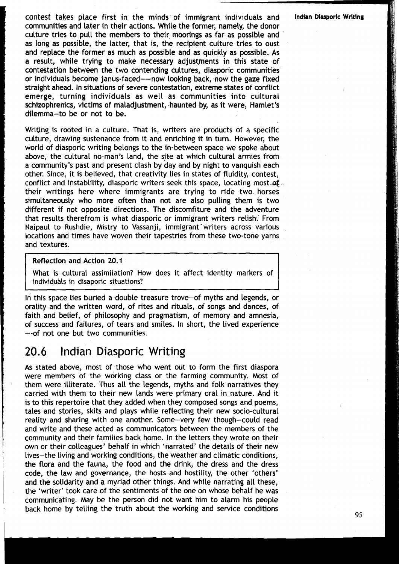contest takes place first in the minds of immigrant individuals and **Indian Diasporic Writing** communities and later in their actions. While the former, namely, the donor culture tries to pull the members to their moorings as far as possible and as long as possible, the latter, that is, the recipient culture tries to oust and replace the former as much as possible and as quickly as possible. As a result, while trying to make necessary adjustments in this state of contestation between the two contending cultures, diasporic communities or individuals become janus-faced---now looking back, now the gaze fixed straight ahead. In situations of severe contestation, extreme states of conflict emerge, turning individuals as well as communities into cultural schizophrenics, victims of maladjustment, haunted by, as it were, Hamlet's dilemma-to be or not to be.

Writing is rooted in a culture. That is, writers are products of a specific culture, drawing sustenance from it and enriching it in turn. However, the world of diasporic writing belongs to the in-between space we spoke about above, the cultural no-man's land, the site at which cultural armies from a community's past and present clash by day and by night to vanquish each other. Since, it is believed, that creativity lies in states of fluidity, contest, conflict and instablility, diasporic writers seek this space, locating most of a their writings here where immigrants are trying to ride two horses simultaneously who more often than not are also pulling them is two different if not opposite directions. The discomfiture and the adventure that results therefrom is what diasporic or immigrant writers relish: From Naipaul to Rushdie, Mistry to Vassanji, immigrant'writers across various locations and times have woven their tapestries from these two-tone yarns and textures.

Reflection and Action 20.1

What is cultural assimilation? How does it affect identity markers of individuals in disaporic situations?

**ln** this space lies buried a double treasure trove-of myths and Legends, or orality and the written word, of rites and rituals, of songs and dances, of faith and belief, of philosophy and pragmatism, of memory and amnesia, of success and failures, of tears and smiles. In short, the lived experience --of not one but two communities.

### **1** 20.6 Indian Diasporic Writing

As stated above, most of those who went out to form the first diaspora were members of the working class or the farming community. Most of them were illiterate. Thus all the Legends, myths and folk narratives they carried with them to their new lands were primary oral in nature. And it is to this repertoire that they added when they composed songs and poems, tales and stories, skits and plays while reflecting their new socio-cultural reality and sharing with one another. Some-very few though-could read and write and these acted as communicators between the members of the community and their families back home. In the letters they wrote on their own or their colleagues' behalf in which 'narrated' the details of their new lives-the living and working conditions, the weather and climatic conditions, the flora and the fauna, the food and the drink, the dress and the dress code, the law and governance, the hosts and hostility, the other 'others' and the solidarity and a myriad other things. And while narrating all these, the 'writer' took care of the sentiments of the one on whose behalf he was communicating. May be the person did not want him to alarm his people back home by telling the truth about the working and service conditions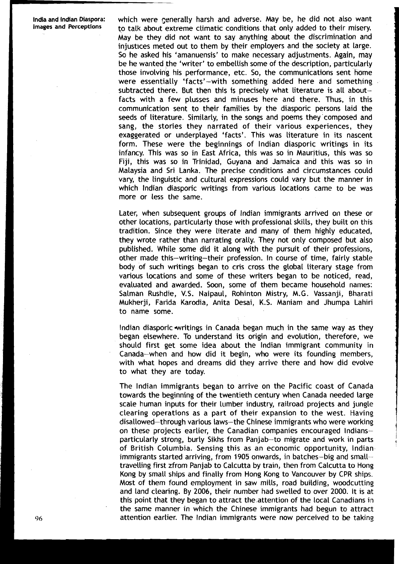which were generally harsh and adverse. May be, he did not also want to talk about extreme climatic conditions that only added to their misery. May be they did not want to say anything about the discrimination and injustices meted out to them by their employers and the society at large. So he asked his 'amanuensis' to make necessary adjustments. Again, may be he wanted the 'writer' to embellish some of the description, particutarly those involving his performance, etc. So, the communicatians sent home were essentially 'facts'-with something added here and something subtracted there. But then this is precisely what literature is all aboutfacts with a few plusses and minuses here and there. Thus, in this communication sent to their families by the diasporic persons laid the seeds of literature. Similarly, in the songs and poems they'composed and sang, the stories they narrated of their various experiences, they exaggerated or underplayed 'facts'. This was literature in its nascent form. These were the beginnings of lndian diasporic writings in its infancy. This was so in East Africa, this was so in Mauritius, this was so Fiji, this was so in Trinidad, Guyana and Jamaica and this was so in Malaysia and Sri Lanka. The precise conditions and circumstances could vary, the linguistic and cultural expressions could vary but the manner in which lndian diasporic writings from various locations came to be was more or less the same.

Later, when subsequent groups of lndian immigrants arrived on these or other locations, particularly those with professional skills, they built on this tradition. Since they were literate and many of them highly educated, they wrote rather than narrating orally. They not only composed but also published. While some did it along with the pursuit of their professions, other made this-writing-their profession. In course of time, fairly stable body of such writings began to cris cross the global literary stage from various locations and some of these writers began to be noticed, read, evaluated and awarded. Soon, some of them became household names: Salman Rushdie, V.S. Naipaul, Rohinton Mistry, M.G. Vassanji, Bharati Mukherji, Fa~ida Karodia, Anita Desai, K.S. Maniam and Jhumpa Lahiri to name some.

Indian diasporic writings in Canada began much in the same way as they began elsewhere. To understand its origin and evolution, therefore, we should first get some idea about the lndian immigrant community in Canada-when and how did it begin, who were its founding members, with what hopes and dreams did they arrive there and how did evolve to what they are today.

The lndian immigrants began to arrive on the Pacific coast of Canada towards the beginning of the twentieth century when Canada needed large scale human inputs for their lumber industry, railroad projects and jungle clearing operations as a part of their expansion to the west. Having disallowed-through various laws-the Chinese immigrants who were working on these projects earlier, the Canadian companies encouraged Indiansparticularly strong, burly Sikhs from Panjab-to migrate and work in parts of British Columbia. Sensing this as an economic opportunity, lndian immigrants started arriving, from 1905 onwards, in batches-big and small- travelling first zfrom Panjab to Calcutta by train, then from Calcutta to Hong Kong by small ships and finally from Hong Kong to Vancouver by CPR ships. Most of them found employment in saw mills, road building, woodcutting and land clearing. By 2006, their number had swelled to over 2000. It is at this point that they began to attract the attention of the Local Canadians in the same manner in which the Chinese immigrants had begun to attract attention earlier. The lndian immigrants were now perceived to be taking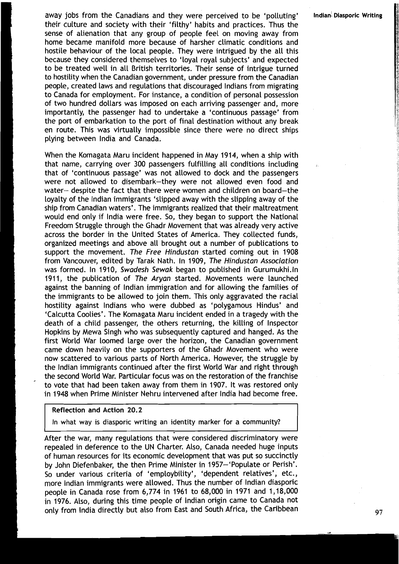away jobs from the Canadians and they were perceived to be 'polluting' **lndian! Diasporic Writing**  their culture and society with their 'filthy' habits and practices. Thus the sense of alienation that any group of people feel on moving away from home became manifold more because of harsher climatic conditions and hostile behaviour of the local people. They were intrigued by the all this because they considered themselves to 'loyal royal subjects' and expected to be treated well in all British territories. Their sense of intrigue turned **<sup>1</sup>** to hostility when the Canadian government, under pressure from the Canadian people, created laws and regulations that discouraged lndians from migrating to Canada for employment. For instance, a condition of personal possession of two hundred dollars was imposed on each arriving passenger and, more importantly, the passenger had to undertake a 'continuous passage' from the port of embarkation to the port of final destination without any break en route. This was virtually impossible since there were no direct ships plying between lndia and Canada.

When the Komagata Maru incident happened in May 1914, when a ship with that name, carrying over 300 passengers fulfilling all conditions including that of 'continuous passage' was not allowed to dock and the passengers were not allowed to disembark-they were not allowed even food and water- despite the fact that there were women and children on board-the loyalty of the lndian immigrants 'slipped away with the slipping away of the **<sup>I</sup>**ship from Canadian waters'. The immigrants realized that their maltreatment would end only if lndia were free. So, they began to support the National Freedom Struggle through the Ghadr Movement that was already very active across the border in the United States of America. They collected funds, organized meetings and above all brought out a number of publications to **<sup>I</sup>**support the movement. **The Free Hindustan** started coming out in 1908 from Vancouver, edited by Tarak Nath. In 1909, **The Hindustan Association**  was formed. In 1910, **Swadesh Sewak** began to published in Gurumukhi.ln 1911, the publication of **The Aryan** started. Movements were launched against the banning of lndian immigration and for allowing the families of **1** the immigrants to be allowed to join them. This only aggravated the racial hostility against Indians who were dubbed as 'polygamous Hindus' and 'Calcutta Coolies'. The Komagata Maru incident ended in a tragedy with the death of a child passenger, the others returning, the killing of Inspector Hopkins by Mewa Singh who was subsequently captured and hanged. As the first World War loomed large over the horizon, the Canadian government came down heavily on the supporters of the Ghadr Movement who were now scattered to various parts of North America. However, the struggle by the lndian immigrants continued after the first World War and right through the second World War. Particular focus was on the restoration of the franchise to vote that had been taken away from them in 1907. It was restored only in 1948 when Prime Minister Nehru intervened after lndia had become free.

#### Reflection and Action **20.2**

In what way is diasporic writing an identity marker for a community?

After the war, many regulations that were considered discriminatory were repealed in deference to the UN Charter. Also, Canada needed huge inputs of human resources for its economic development that was put so succinctly by John Diefenbaker, the then Prime Minister in 1957-'Populate or Perish'. So under various criteria of 'employbility', 'dependent relatives', etc., more lndian immigrants were allowed. Thus the number of lndian diasporic people in Canada rose from 6,774 in 1961 to 68,000 in 1971 and 1,18,000 in 1976. Also, during this time people of lndian origin came to Canada not only from India directly but also from East and South Africa, the Caribbean 97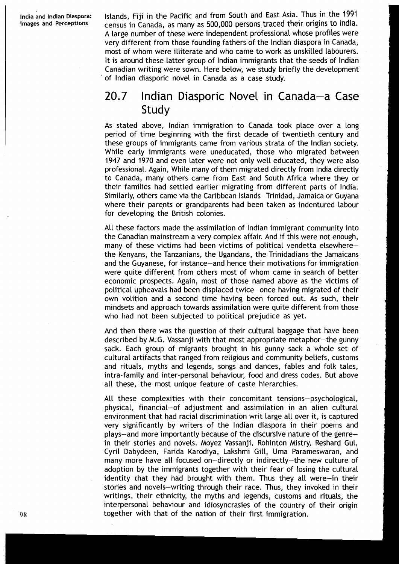Islands, Fiji in the Pacific and from South and East Asia. Thus in the 1991 census in Canada, as many as 500,000 persons traced their origins to India. A large number of these were independent professional whose profiles were very different from those founding fathers of the lndian diaspora in Canada, most of whom were illiterate and who came to work as unskilled labourers. It is around these latter group of lndian immigrants that the seeds of lndian Canadian writing were sown. Here below, we study briefly the development of lndian diasporic novel in Canada as a case study.

## 20.7 Indian Diasporic Novel in Canada-a Case **Study**

As stated above, lndian immigration to Canada took place over a long period of time beginning with the first decade of twentieth century and these groups of immigrants came from various strata of the lndian society. While early immigrants were uneducated, those who migrated between 1947 and 1970 and even later were not only well educated, they were also professional. Again, While many of them migrated directly from lndia directly to Canada, many others came from East and South Africa where they or their families had settled earlier migrating from different parts of India. Similarly, others came via the Caribbean Islands-Trinidad, Jamaica or Guyana where their parents or grandparents had been taken as indentured labour for developing the British colonies.

All these factors made the assimilation of lndian immigrant community into the Canadian mainstream a very complex affair. And if this were not enough, many of these victims had been victims of political vendetta elsewherethe Kenyans, the Tanzanians, the Ugandans, the Trinidadians the Jamaicans and the Guyanese, for instance-and hence their motivations for immigration were quite different from others most of whom came in search of better economic prospects. Again, most of those named above as the victims of political upheavals had been displaced twice-once having migrated of their own volition and a second time having been forced out. As such, their mindsets and approach towards assimilation were quite different from those who had not been subjected to political prejudice as yet.

And then there was the question of their cultural baggage that have been described by M.G. Vassanji with that most appropriate metaphor-the gunny sack. Each group of migrants brought in his gunny sack a whole set of cultural artifacts that ranged from religious and community beliefs, customs and rituals, myths and legends, songs and dances, fables and folk tales, intra-family and inter-personal behaviour, food and dress codes. But above all these, the most unique feature of caste hierarchies.

All these complexities with their concomitant tensions-psychological, physical, financial-of adjustment and assimilation in an alien cultural environment that had racial discrimination writ large all over it, is captured very significantly by writers of the lndian diaspora in their poems and plays-and more importantly because of the discursive nature of the genrein their stories and novels. Moyez Vassanji, Rohinton Mistry, Reshard Gul, Cyril Dabydeen, Farida Karodiya, Lakshmi Gill, Uma Parameswaran, and many more have all focused on-directly or indirectly-the new culture of adoption by the immigrants together with their fear of losing the cultural identity that they had brought with them. Thus they all were-in their stories and novels-writing through their race. Thus, they invoked in their writings, their ethnicity, the myths and legends, customs and rituals, the interpersonal behaviour and idiosyncrasies of the country of their origin together with that of the nation of their first immigration.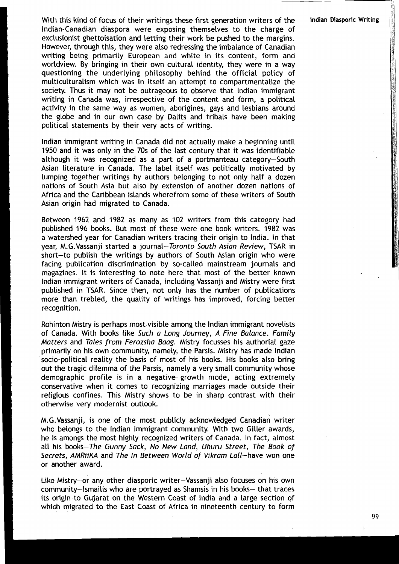With this kind of focus of their writings these first generation writers of the lndian Diasporic Writing Indian-Canadian diaspora were exposing themselves to the charge of exclusionist ghettoisation and letting their work be pushed to the margins. However, through this, they were also redressing the imbalance of Canadian writing being primarily European and white in its content, form and worldview. By bringing in their own cultural identity, they were in a way questioning the underlying philosophy behind the official policy of multiculturalism which was in itself an attempt to compartmentalize the society. Thus it may not be outrageous to observe that lndian immigrant writing in Canada was, irrespective of the content and form, a political activity in the same way as women, aborigines, gays and lesbians around the globe and in our own case by Dalits and tribals have been making political statements by their very acts of writing.

lndian immigrant writing in Canada did not actually make a beginning until **<sup>1950</sup>**and it was only in the 70s of the last century that it was identifiable although it was recognized as a part of a portmanteau category-South Asian Literature in Canada. The Label itself was politically motivated by lumping together writings by authors belonging to not only half a dozen nations of South Asia but also by extension of another dozen nations of Africa and the Caribbean islands wherefrom some of these writers of South Asian origin had migrated to Canada.

Between **1962** and **1982** as many as **102** writers from this category had published **196** books. But most of these were one book writers. **1982** was a watershed year for Canadian writers tracing their origin to India. In that year, M.G.Vassanji started a journal-Toronto South Asian Review, TSAR in short-to publish the writings by authors of South Asian origin who were facing publication discrimination by so-called mainstream journals and magazines. It is interesting to note here that most of the better known lndian immigrant writers of Canada, including Vassanji and Mistry were first published in TSAR. Since then, not only has the number of publications more than trebled, the quality of writings has improved, forcing better recognition.

Rohinton Mistry is perhaps most visible among the lndian immigrant novelists of Canada. With books like Such a Long Journey, A Fine Balance. Family Matters and Tales from Ferozsha Baag. Mistry focusses his authorial gaze primarily on his own community, namely, the Parsis. Mistry has made lndian socio-political reality the basis of most of his books. His books also bring out the tragic dilemma of the Parsis, namely a very small community whose demographic profile is in a negative growth mode, acting extremely conservative when it comes to recognizing marriages made outside their religious confines. This Mistry shows to be in sharp contrast with their otherwise very modernist outlook.

M.G.Vassanji, is one of the most publicly acknowledged Canadian writer who belongs to the lndian immigrant community. With two Giller awards, he is amongs the most highly recognized writers of Canada. In fact, almost all his books-The Gunny Sack, No New Land, Uhuru Street, The Book of Secrets, AMRiiKA and The In Between World of Vikram Lall-have won one or another award.

Like Mistry-or any other diasporic writer-Vassanji also focuses on his own community-lsmailis who are portrayed as Shamsis in his books- that traces its origin to Gujarat on the Western Coast of India and a large section of which migrated to the East Coast of Africa in nineteenth century to form

99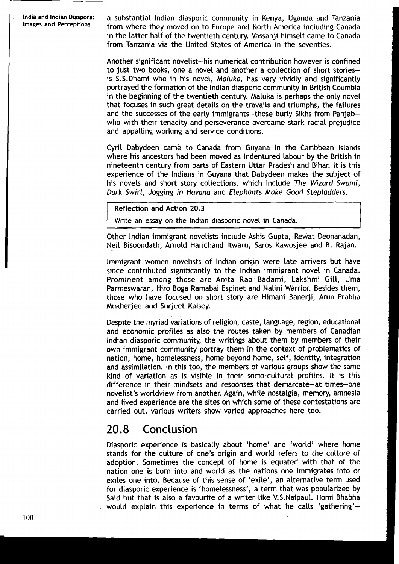India and Indian Diaspora: a substantial Indian diasporic community in Kenya, Uganda and Tanzania<br>Images and Perceptions from whore thou moved an to Europe and North America including Canada **Images and** from where they moved on to Europe and North America including Canada in the latter half of the twentieth century. Vassanji himself came to Canada from Tanzania via the United States of America in the seventies.

> Another significant novelist-his numerical contribution however is confined to just two books, one a novel and another a collection of short storiesis S.S.Dhami who in his novel, Maluka, has very vividly and significantly portrayed the formation of the lndian diasporic community in British Coumbia in the beginning of the twentieth century. Maluka is perhaps the only novel that focuses in such great details on the travails and triumphs, the failures and the successes of the early immigrants-those burly Sikhs from Panjabwho with their tenacity and perseverance overcame stark racial prejudice and appalling working and service conditions.

> Cyril Dabydeen came to Canada from Guyana in the Caribbean Islands where his ancestors had been moved as indentured labour by the British in nineteenth century from parts of Eastern Uttar Pradesh and Bihar. It is this experience of the Indians in Guyana that Dabydeen makes the subject of his novels and short story collections, which include The Wizard Swami, Dark Swirl, Jogging in Havana and Elephants Make Good Stepladders.

#### Reflection and Action 20.3

Write an essay on the lndian diasporic novel in Canada.

Other lndian immigrant novelists include Ashis Gupta, Rewat Deonanadan, Neil Bisoondath, Arnold Harichand Itwaru, Saros Kawosjee and B. Rajan.

Immigrant women novelists of lndian origin were late arrivers but have since contributed significantly to the lndian immigrant novel in Canada. Prominent among those are Anita Rao Badami, Lakshmi Gill, Uma Parmeswaran, Hiro Boga Ramabai Espinet and Nalini Warrior. Besides them, those who have focused on short story are Himani Banerji, Arun Prabha Mukherjee and Surjeet Kalsey.

Despite the myriad variations of religion, caste, language, region, educational and economic profiles as also the routes taken by members of Canadian lndian diasporic community, the writings about them by members of their own immigrant community portray them in the context of problematics of nation, home, homelessness, home beyond home, self, identity, integration and assimilation. In this too, the members of various groups show the same kind of variation as is visible in their socio-cultural profiles. It is this difference in their mindsets and responses that demarcate-at times-one novelist's worldview from another. Again, while nostalgia, memory, amnesia and lived experience are the sites on which some of these contestations are carried out, various writers show varied approaches here too.

#### 20.8 Conclusion

Diasporic experience is basically about 'home' and 'world' where home stands for the culture of one's origin and world refers to the culture of adoption. Sometimes the concept of home is equated with that of the nation one is born into and world as the nations one immigrates into or exiles one into. Because of this sense of 'exile', an alternative term used for diasporic experience is 'homelessness', a term that was popularized by Said but that is also a favourite of a writer like V.S.Naipaul. Homi Bhabha would explain this experience in terms of what he calls 'gathering'-